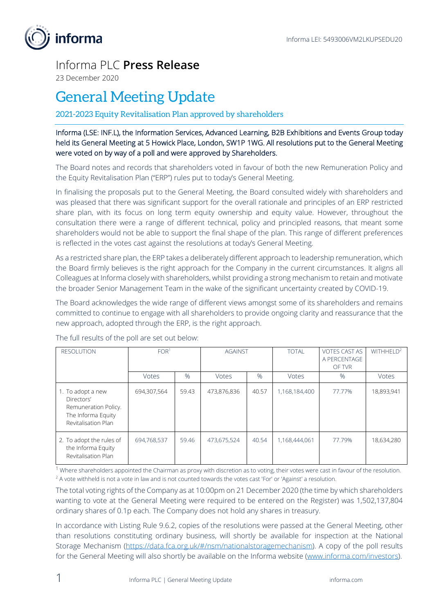

## Informa PLC **Press Release**

23 December 2020

## General Meeting Update

## 2021-2023 Equity Revitalisation Plan approved by shareholders

Informa (LSE: INF.L), the Information Services, Advanced Learning, B2B Exhibitions and Events Group today held its General Meeting at 5 Howick Place, London, SW1P 1WG. All resolutions put to the General Meeting were voted on by way of a poll and were approved by Shareholders.

The Board notes and records that shareholders voted in favour of both the new Remuneration Policy and the Equity Revitalisation Plan ("ERP") rules put to today's General Meeting.

In finalising the proposals put to the General Meeting, the Board consulted widely with shareholders and was pleased that there was significant support for the overall rationale and principles of an ERP restricted share plan, with its focus on long term equity ownership and equity value. However, throughout the consultation there were a range of different technical, policy and principled reasons, that meant some shareholders would not be able to support the final shape of the plan. This range of different preferences is reflected in the votes cast against the resolutions at today's General Meeting.

As a restricted share plan, the ERP takes a deliberately different approach to leadership remuneration, which the Board firmly believes is the right approach for the Company in the current circumstances. It aligns all Colleagues at Informa closely with shareholders, whilst providing a strong mechanism to retain and motivate the broader Senior Management Team in the wake of the significant uncertainty created by COVID-19.

The Board acknowledges the wide range of different views amongst some of its shareholders and remains committed to continue to engage with all shareholders to provide ongoing clarity and reassurance that the new approach, adopted through the ERP, is the right approach.

| <b>RESOLUTION</b>                                                                                    | FOR <sup>1</sup> |       | <b>AGAINST</b> |       | <b>TOTAL</b>  | <b>VOTES CAST AS</b><br>A PERCENTAGE<br>OF TVR | WITHHELD <sup>2</sup> |
|------------------------------------------------------------------------------------------------------|------------------|-------|----------------|-------|---------------|------------------------------------------------|-----------------------|
|                                                                                                      | Votes            | $\%$  | <b>Votes</b>   | $\%$  | Votes         | $\%$                                           | Votes                 |
| 1. To adopt a new<br>Directors'<br>Remuneration Policy.<br>The Informa Equity<br>Revitalisation Plan | 694,307,564      | 59.43 | 473,876,836    | 40.57 | 1,168,184,400 | 77.77%                                         | 18,893,941            |
| 2. To adopt the rules of<br>the Informa Equity<br>Revitalisation Plan                                | 694,768,537      | 59.46 | 473,675,524    | 40.54 | 1,168,444,061 | 77.79%                                         | 18,634,280            |

The full results of the poll are set out below:

 $1$  Where shareholders appointed the Chairman as proxy with discretion as to voting, their votes were cast in favour of the resolution. <sup>2</sup> A vote withheld is not a vote in law and is not counted towards the votes cast 'For' or 'Against' a resolution.

The total voting rights of the Company as at 10:00pm on 21 December 2020 (the time by which shareholders wanting to vote at the General Meeting were required to be entered on the Register) was 1,502,137,804 ordinary shares of 0.1p each. The Company does not hold any shares in treasury.

In accordance with Listing Rule 9.6.2, copies of the resolutions were passed at the General Meeting, other than resolutions constituting ordinary business, will shortly be available for inspection at the National Storage Mechanism [\(https://data.fca.org.uk/#/nsm/nationalstoragemechanism\)](https://data.fca.org.uk/#/nsm/nationalstoragemechanism). A copy of the poll results for the General Meeting will also shortly be available on the Informa website [\(www.informa.com/investors\)](http://www.informa.com/investors).